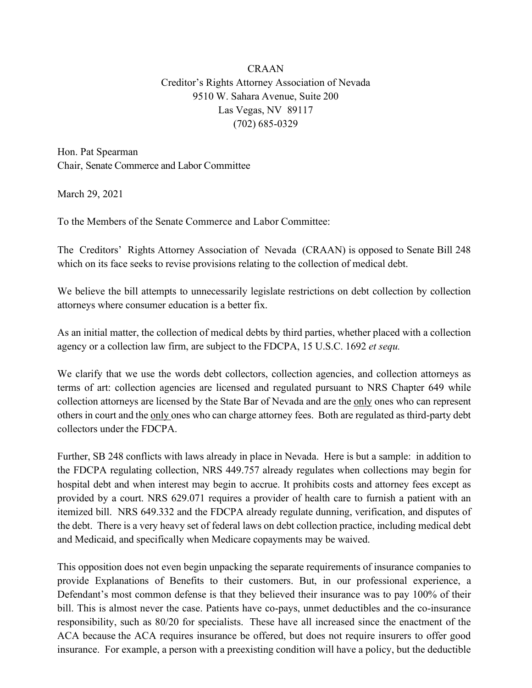## CRAAN Creditor's Rights Attorney Association of Nevada 9510 W. Sahara Avenue, Suite 200 Las Vegas, NV 89117 (702) 685-0329

Hon. Pat Spearman Chair, Senate Commerce and Labor Committee

March 29, 2021

To the Members of the Senate Commerce and Labor Committee:

The Creditors' Rights Attorney Association of Nevada (CRAAN) is opposed to Senate Bill 248 which on its face seeks to revise provisions relating to the collection of medical debt.

We believe the bill attempts to unnecessarily legislate restrictions on debt collection by collection attorneys where consumer education is a better fix.

As an initial matter, the collection of medical debts by third parties, whether placed with a collection agency or a collection law firm, are subject to the FDCPA, 15 U.S.C. 1692 *et sequ.*

We clarify that we use the words debt collectors, collection agencies, and collection attorneys as terms of art: collection agencies are licensed and regulated pursuant to NRS Chapter 649 while collection attorneys are licensed by the State Bar of Nevada and are the only ones who can represent others in court and the only ones who can charge attorney fees. Both are regulated as third-party debt collectors under the FDCPA.

Further, SB 248 conflicts with laws already in place in Nevada. Here is but a sample: in addition to the FDCPA regulating collection, NRS 449.757 already regulates when collections may begin for hospital debt and when interest may begin to accrue. It prohibits costs and attorney fees except as provided by a court. NRS 629.071 requires a provider of health care to furnish a patient with an itemized bill. NRS 649.332 and the FDCPA already regulate dunning, verification, and disputes of the debt. There is a very heavy set of federal laws on debt collection practice, including medical debt and Medicaid, and specifically when Medicare copayments may be waived.

This opposition does not even begin unpacking the separate requirements of insurance companies to provide Explanations of Benefits to their customers. But, in our professional experience, a Defendant's most common defense is that they believed their insurance was to pay 100% of their bill. This is almost never the case. Patients have co-pays, unmet deductibles and the co-insurance responsibility, such as 80/20 for specialists. These have all increased since the enactment of the ACA because the ACA requires insurance be offered, but does not require insurers to offer good insurance. For example, a person with a preexisting condition will have a policy, but the deductible